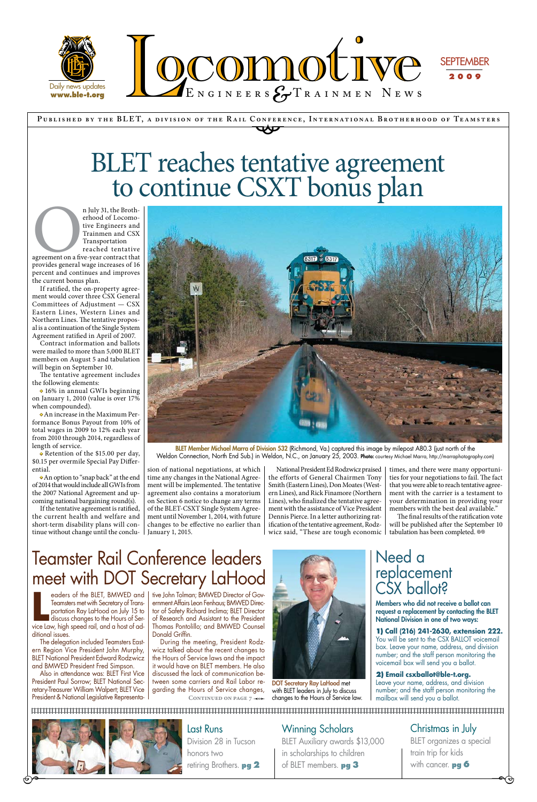**P ublished by the BLE T, a div ision of the R a il Conference, Internationa l Brotherhood of Te a msters** CONFERE



Winning Scholars BLET Auxiliary awards \$13,000 in scholarships to children of BLET members. **pg 3** 

# BLET reaches tentative agreement to continue CSXT bonus plan

n July 31, the Brotherhood of Locomo-<br>
tive Engineers and<br>
Trainmen and CSX<br>
Transportation<br>
reached tentative<br>
agreement on a five-year contract that<br>
provides general wage increases of 16 erhood of Locomotive Engineers and Trainmen and CSX Transportation reached tentative

> Christmas in July BLET organizes a special train trip for kids with cancer. **pg 6**

 $\overline{\phantom{a}}$ 

## Last Runs

Division 28 in Tucson honors two retiring Brothers. **pg 2** 

agreement on a five-year contract that provides general wage increases of 16 percent and continues and improves the current bonus plan.

If ratified, the on-property agreement would cover three CSX General Committees of Adjustment — CSX Eastern Lines, Western Lines and Northern Lines. The tentative proposal is a continuation of the Single System Agreement ratified in April of 2007.

> BLET Member Michael Marra of Division 532 (Richmond, Va.) captured this image by milepost A80.3 (just north of the Weldon Connection, North End Sub.) in Weldon, N.C., on January 25, 2003. Photo: courtesy Michael Marra, http://marraphotography.com)

Contract information and ballots were mailed to more than 5,000 BLET members on August 5 and tabulation will begin on September 10.

The tentative agreement includes the following elements:

• 16% in annual GWIs beginning on January 1, 2010 (value is over 17% when compounded).

• An increase in the Maximum Performance Bonus Payout from 10% of total wages in 2009 to 12% each year from 2010 through 2014, regardless of length of service.

• Retention of the \$15.00 per day, \$0.15 per overmile Special Pay Differential.

> The final results of the ratification vote will be published after the September 10 tabulation has been completed. <sup>®®</sup>

• An option to "snap back" at the end of 2014 that would include all GWIs from the 2007 National Agreement and upcoming national bargaining round(s).

eaders of the BLET, BMWED and<br>Teamsters met with Secretary of Trans-<br>portation Ray LaHood on July 15 to<br>discuss changes to the Hours of Ser-<br>vice Law, high speed rail, and a host of adeaders of the BLET, BMWED and Teamsters met with Secretary of Transportation Ray LaHood on July 15 to discuss changes to the Hours of Serditional issues.

If the tentative agreement is ratified, the current health and welfare and short-term disability plans will continue without change until the conclu-



DOT Secretary Ray LaHood met with BLET leaders in July to discuss CONTINUED ON PAGE 7  $\rightarrow \rightarrow \rightarrow \rightarrow$  changes to the Hours of Service law.

sion of national negotiations, at which time any changes in the National Agreement will be implemented. The tentative agreement also contains a moratorium on Section 6 notice to change any terms of the BLET-CSXT Single System Agreement until November 1, 2014, with future changes to be effective no earlier than January 1, 2015.

National President Ed Rodzwicz praised the efforts of General Chairmen Tony Smith (Eastern Lines), Don Moates (Western Lines), and Rick Finamore (Northern Lines), who finalized the tentative agreement with the assistance of Vice President Dennis Pierce. In a letter authorizing ratification of the tentative agreement, Rodzwicz said, "These are tough economic

times, and there were many opportunities for your negotiations to fail. The fact that you were able to reach tentative agreement with the carrier is a testament to your determination in providing your members with the best deal available."

The delegation included Teamsters Eastern Region Vice President John Murphy, BLET National President Edward Rodzwicz and BMWED President Fred Simpson.

Also in attendance was: BLET First Vice President Paul Sorrow; BLET National Secretary-Treasurer William Walpert; BLET Vice President & National Legislative Representative John Tolman; BMWED Director of Government Affairs Leon Fenhaus; BMWED Director of Safety Richard Inclima; BLET Director of Research and Assistant to the President Thomas Pontolillo; and BMWED Counsel Donald Griffin.

During the meeting, President Rodzwicz talked about the recent changes to the Hours of Service laws and the impact it would have on BLET members. He also discussed the lack of communication between some carriers and Rail Labor regarding the Hours of Service changes,

# Teamster Rail Conference leaders meet with DOT Secretary LaHood



Members who did not receive a ballot can request a replacement by contacting the BLET National Division in one of two ways:

**1) Call (216) 241-2630, extension 222.**

You will be sent to the CSX BALLOT voicemail box. Leave your name, address, and division number; and the staff person monitoring the voicemail box will send you a ballot.

#### **2) Email csxballot@ble-t.org.**

Leave your name, address, and division number; and the staff person monitoring the mailbox will send you a ballot.

 $\Theta^{\bullet-}$ 



## Need a replacement CSX ballot?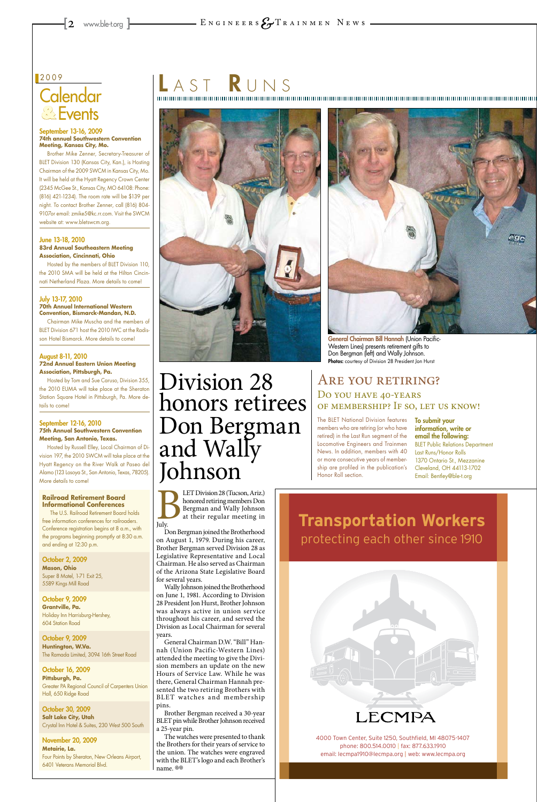# **Calendar** Events **&**

#### 2009

#### September 13-16, 2009 **74th annual Southwestern Convention Meeting, Kansas City, Mo.**

Brother Mike Zenner, Secretary-Treasurer of BLET Division 130 (Kansas City, Kan.), is Hosting Chairman of the 2009 SWCM in Kansas City, Mo. It will be held at the Hyatt Regency Crown Center (2345 McGee St., Kansas City, MO 64108: Phone: (816) 421-1234). The room rate will be \$139 per night. To contact Brother Zenner, call (816) 804- 9107or email: zmike5@kc.rr.com. Visit the SWCM website at: www.bletswcm.org.

#### June 13-18, 2010 **83rd Annual Southeastern Meeting Association, Cincinnati, Ohio**

Hosted by the members of BLET Division 110, the 2010 SMA will be held at the Hilton Cincinnati Netherland Plaza. More details to come!

#### July 13-17, 2010 **70th Annual International Western Convention, Bismarck-Mandan, N.D.**

Chairman Mike Muscha and the members of BLET Division 671 host the 2010 IWC at the Radisson Hotel Bismarck. More details to come!

#### August 8-11, 2010 **72nd Annual Eastern Union Meeting Association, Pittsburgh, Pa.**

Hosted by Tom and Sue Caruso, Division 355, the 2010 EUMA will take place at the Sheraton Station Square Hotel in Pittsburgh, Pa. More details to come!

> LET Division 28 (Tucson, Ariz.)<br>honored retiring members Don<br>Bergman and Wally Johnson<br>at their regular meeting in<br>July. honored retiring members Don Bergman and Wally Johnson at their regular meeting in July.

#### September 12-16, 2010 **75th Annual Southwestern Convention Meeting, San Antonio, Texas.**

Hosted by Russell Elley, Local Chairman of Division 197, the 2010 SWCM will take place at the Hyatt Regency on the River Walk at Paseo del Alamo (123 Losoya St., San Antonio, Texas, 78205). More details to come!

#### **Railroad Retirement Board Informational Conferences**

The watches were presented to thank the Brothers for their years of service to the union. The watches were engraved with the BLET's logo and each Brother's name. ®®



4000 Town Center, Suite 1250, Southfield, MI 48075-1407 phone: 800.514.0010 | fax: 877.633.1910 email: lecmpa1910@lecmpa.org | web: www.lecmpa.org

The U.S. Railroad Retirement Board holds free information conferences for railroaders. Conference registration begins at 8 a.m., with the programs beginning promptly at 8:30 a.m. and ending at 12:30 p.m.



General Chairman Bill Hannah (Union Pacific-Western Lines) presents retirement gifts to Don Bergman (left) and Wally Johnson. Photos: courtesy of Division 28 President Jon Hurst

October 2, 2009 **Mason, Ohio** Super 8 Motel, 1-71 Exit 25, 5589 Kings Mill Road

# $\overline{\mathsf{L}}$  and  $\overline{\mathsf{S}}$  and  $\overline{\mathsf{R}}$  under  $\overline{\mathsf{R}}$  under  $\overline{\mathsf{S}}$



October 9, 2009 **Grantville, Pa.** Holiday Inn Harrisburg-Hershey, 604 Station Road

October 9, 2009 **Huntington, W.Va.** The Ramada Limited, 3094 16th Street Road

October 16, 2009 **Pittsburgh, Pa.** Greater PA Regional Council of Carpenters Union Hall, 650 Ridge Road

October 30, 2009 **Salt Lake City, Utah**  Crystal Inn Hotel & Suites, 230 West 500 South

## ARE YOU RETIRING? Do you have 40-years of membership? If so, let us know!

November 20, 2009 **Metairie, La.** Four Points by Sheraton, New Orleans Airport, 6401 Veterans Memorial Blvd.

Don Bergman joined the Brotherhood on August 1, 1979. During his career, Brother Bergman served Division 28 as Legislative Representative and Local Chairman. He also served as Chairman of the Arizona State Legislative Board for several years.

Wally Johnson joined the Brotherhood

on June 1, 1981. According to Division 28 President Jon Hurst, Brother Johnson was always active in union service throughout his career, and served the Division as Local Chairman for several years.

General Chairman D.W. "Bill" Hannah (Union Pacific-Western Lines) attended the meeting to give the Division members an update on the new Hours of Service Law. While he was there, General Chairman Hannah presented the two retiring Brothers with BLET watches and membership pins.

Brother Bergman received a 30-year BLET pin while Brother Johnson received a 25-year pin.

# Division 28 honors retirees Don Bergman and Wally Johnson

The BLET National Division features members who are retiring (or who have retired) in the Last Run segment of the Locomotive Engineers and Trainmen News. In addition, members with 40 or more consecutive years of membership are profiled in the publication's Honor Roll section.

To submit your information, write or email the following: BLET Public Relations Department Last Runs/Honor Rolls 1370 Ontario St., Mezzanine Cleveland, OH 44113-1702 Email: Bentley@ble-t.org

## **Transportation Workers** protecting each other since 1910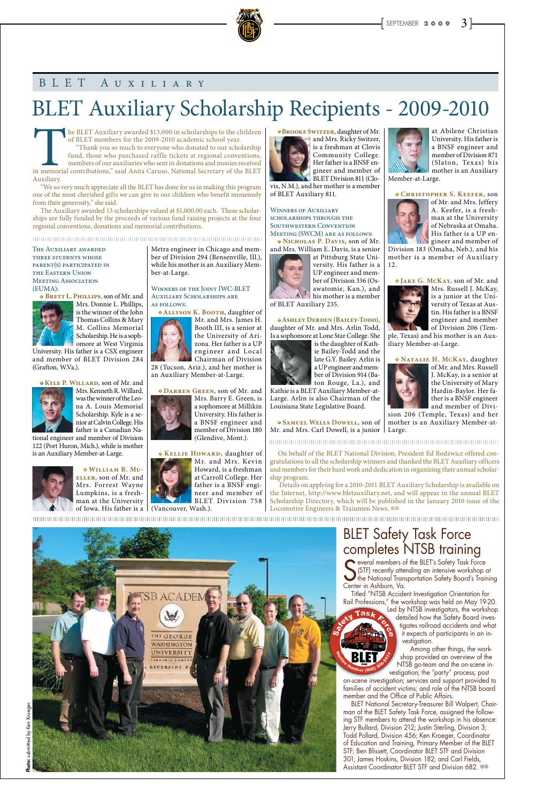• **Brooke Switzer,** daughter of Mr. and Mrs. Ricky Switzer,



is a freshman at Clovis Community College. Her father is a BNSF engineer and member of BLET Division 811 (Clo-

vis, N.M.), and her mother is a member of BLET Auxiliary 811.

Winners of Auxiliary scholarships through the Southwestern Convention Meeting (SWCM) are as follows:

• **Nicholas P. Davis,** son of Mr. and Mrs. William E. Davis, is a senior at Pittsburg State Uni-



versity. His father is a

UP engineer and member of Division 336 (Osawatomie, Kan.), and his mother is a member of BLET Auxiliary 235.

• **Ashley Derden (Bailey-Todd),** daughter of Mr. and Mrs. Arlin Todd, Is a sophomore at Lone Star College. She



ton Rouge, La.), and Kathie is a BLET Auxiliary Member-at-Large. Arlin is also Chairman of the Louisiana State Legislative Board.

The Auxiliary awarded THREE STUDENTS WHOSE

at Abilene Christian University. His father is a BNSF engineer and member of Division 871 (Slaton, Texas) his mother is an Auxiliary

Member-at-Large.





of Mr. and Mrs. Jeffery A. Keefer, is a freshman at the University of Nebraska at Omaha. His father is a UP engineer and member of

Division 183 (Omaha, Neb.), and his mother is a member of Auxiliary 12.

• **Samuel Wells Dowell,** son of Mr. and Mrs. Carl Dowell, is a junior Large.





Mrs. Russell J. McKay, is a junior at the University of Texas at Austin. His father is a BNSF engineer and member of Division 206 (Tem-

ple, Texas) and his mother is an Auxiliary Member-at-Large.

• **Natalie H. McKay,** daughter



of Mr. and Mrs. Russell J. McKay, is a senior at the University of Mary Hardin-Baylor. Her father is a BNSF engineer and member of Divi-

sion 206 (Temple, Texas) and her mother is an Auxiliary Member-at-

# BLET Auxiliary Scholarship Recipients - 2009-2010

## BLET Auxiliary

The BLET Auxiliary awarded \$13,000 in scholarships to the children of BLET members for the 2009-2010 academic school year. "Thank you so much to everyone who donated to our scholarship fund, those who purchased raffle tick of BLET members for the 2009-2010 academic school year. "Thank you so much to everyone who donated to our scholarship fund, those who purchased raffle tickets at regional conventions, members of our auxiliaries who sent in donations and monies received Auxiliary.

parent(s) participated in the Eastern Union MEETING ASSOCIATION (EUMA):

• **Brett L. Phillips**, son of Mr. and



Mrs. Donnie L. Phillips, is the winner of the John Thomas Collins & Mary M. Collins Memorial Scholarship. He is a sophomore at West Virginia

University. His father is a CSX engineer and member of BLET Division 284 (Grafton, W.Va.).

> ship program. Details on applying for a 2010-2011 BLET Auxiliary Scholarship is available on the Internet, http://www.bletauxiliary.net, and will appear in the annual BLET Scholarship Directory, which will be published in the January 2010 issue of the Locomotive Engineers & Trainmen News. <sup>®</sup>



• **Kyle P. Willard,** son of Mr. and Mrs. Kenneth R. Willard,



was the winner of the Leona A. Louis Memorial Scholarship. Kyle is a senior at Calvin College. His father is a Canadian Na-

> everal members of the BLET's Safety Task Force Several members of the BLET's Safety Task Force<br>
> S (STF) recently attending an intensive workshop at<br>
> the National Transportation Safety Board's Training<br>
> Conter in Ashburn Va (STF) recently attending an intensive workshop at Center in Ashburn, Va. Titled "NTSB Accident Investigation Orientation for Rail Professions," the workshop was held on May 19-20. Led by NTSB investigators, the workshop  $\overline{\textsf{Task}}$ detailed how the Safety Board investigates railroad accidents and what it expects of participants in an investigation. Among other things, the workshop provided an overview of the NTSB go-team and the on-scene investigation; the "party" process; post on-scene investigation; services and support provided to families of accident victims; and role of the NTSB board member and the Office of Public Affairs. BLET National Secretary-Treasurer Bill Walpert, Chairman of the BLET Safety Task Force, assigned the following STF members to attend the workshop in his absence: Jerry Bullard, Division 212; Justin Sterling, Division 3; Todd Pollard, Division 456; Ken Kroeger, Coordinator of Education and Training, Primary Member of the BLET STF; Ben Blissett, Coordinator BLET STF and Division 301; James Hoskins, Division 182; and Carl Fields, Assistant Coordinator BLET STF and Division 682. @



tional engineer and member of Division 122 (Port Huron, Mich.), while is mother is an Auxiliary Member-at-Large.



Metra engineer in Chicago and member of Division 294 (Bensenville, Ill.), while his mother is an Auxiliary Member-at-Large.

Winners of the Joint IWC-BLET Auxiliary Scholarships are as follows:

• **Allyson K. Booth,** daughter of

Mr. and Mrs. James H. Booth III, is a senior at the University of Arizona. Her father is a UP engineer and Local Chairman of Division

Photo: submitted by Ken Kroeger submitted by Ken Kroeger.

• **William B. Mueller,** son of Mr. and Mrs. Forrest Wayne Lumpkins, is a freshman at the University of Iowa. His father is a (Vancouver, Wash.).

28 (Tucson, Ariz.), and her mother is an Auxiliary Member-at-Large.

• **Darren Green,** son of Mr. and





"We so very much appreciate all the BLET has done for us in making this program one of the most cherished gifts we can give to our children who benefit immensely from their generosity," she said.

The Auxiliary awarded 13 scholarships valued at \$1,000.00 each. These scholarships are fully funded by the proceeds of various fund raising projects at the four regional conventions, donations and memorial contributions.

On behalf of the BLET National Division, President Ed Rodzwicz offered congratulations to all the scholarship winners and thanked the BLET Auxiliary officers and members for their hard work and dedication in organizing their annual scholar-

## BLET Safety Task Force completes NTSB training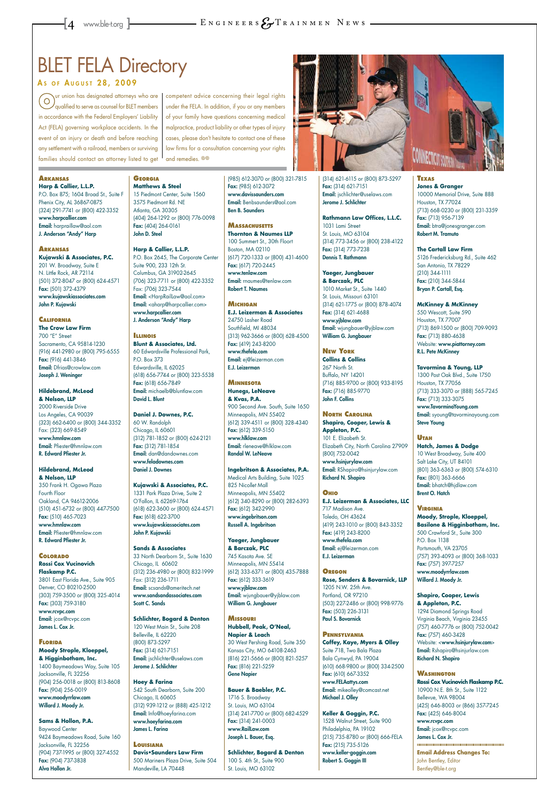# **BLET FELA Directory**

#### As of AUGUST 28, 2009



P.O. Box 875; 1604 Broad St., Suite F Phenix City, AL 36867-0875 (324) 291-7741 or (800) 422-3352 www.harpcallier.com Email: harpraillaw@aol.com J. Anderson "Andy" Harp

#### **CALIFORNIA The Crow Law Firm** 700 "E" Street Sacramento, CA 95814-1230 (916) 441-2980 or (800) 795-6555 Fax: (916) 441-3846 Email: Dfrias@crowlaw.com Joseph J. Weninger

**Arkansas Kujawski & Associates, P.C.** 201 W. Broadway, Suite E N. Little Rock, AR 72114 (501) 372-8047 or (800) 624-4571 Fax: (501) 372-4379 www.kujawskiassociates.com John P. Kujawski

#### **Hildebrand, McLeod & Nelson, LLP** 2000 Riverside Drive Los Angeles, CA 90039 (323) 662-6400 or (800) 344-3352 Fax: (323) 669-8549 www.hmnlaw.com Email: Pfiester@hmnlaw.com R. Edward Pfiester Jr.

#### **Hildebrand, McLeod & Nelson, LLP** 350 Frank H. Ogawa Plaza Fourth Floor Oakland, CA 94612-2006 (510) 451-6732 or (800) 447-7500 Fax: (510) 465-7023

www.hmnlaw.com Email: Pfiester@hmnlaw.com R. Edward Pfiester Jr.

**Colorado Rossi Cox Vucinovich Flaskamp P.C.**  3801 East Florida Ave., Suite 905 Denver, CO 80210-2500 (303) 759-3500 or (800) 325-4014 Fax: (303) 759-3180 www.rcvpc.com Email: jcox@rcvpc.com James L. Cox Jr.

#### **Florida Moody Strople, Kloeppel, & Higginbotham, Inc.**

33 North Dearborn St., Suite 1630 Chicago, IL 60602 (312) 236-4980 or (800) 832-1999 Fax: (312) 236-1711 Email: scsands@ameritech.net

1400 Baymeadows Way, Suite 105 Jacksonville, FL 32256 (904) 256-0018 or (800) 813-8608 Fax: (904) 256-0019 www.moodyrrlaw.com Willard J. Moody Jr.

#### **Sams & Hollon, P.A.**

Baywood Center 9424 Baymeadows Road, Suite 160 Jacksonville, FL 32256 (904) 737-1995 or (800) 327-4552 Fax: (904) 737-3838 Alva Hollon Jr.

#### **Georgia Matthews & Steel**

15 Piedmont Center, Suite 1560 3575 Piedmont Rd. NE Atlanta, GA 30305 (404) 264-1292 or (800) 776-0098 Fax: (404) 264-0161 John D. Steel

**Harp & Callier, L.L.P.** P.O. Box 2645, The Corporate Center Suite 900, 233 12th St. Columbus, GA 31902-2645 (706) 323-7711 or (800) 422-3352 Fax: (706) 323-7544 Email: <HarpRailLaw@aol.com> Email: <aharp@harpcallier.com> www.harpcallier.com J. Anderson "Andy" Harp

**Illinois Blunt & Associates, Ltd.**  60 Edwardsville Professional Park, P.O. Box 373 Edwardsville, IL 62025 (618) 656-7744 or (800) 323-5538 Fax: (618) 656-7849 Email: michaelb@bluntlaw.com David L. Blunt

**Daniel J. Downes, P.C.**  60 W. Randolph Chicago, IL 60601 (312) 781-1852 or (800) 624-2121 Fax: (312) 781-1854 Email: dan@dandownes.com www.feladownes.com Daniel J. Downes

**Kujawski & Associates, P.C.** 1331 Park Plaza Drive, Suite 2 O'Fallon, IL 62269-1764 (618) 622-3600 or (800) 624-4571 Fax: (618) 622-3700 www.kujawskiassociates.com John P. Kujawski

#### **Sands & Associates**

www.sandsandassociates.com Scott C. Sands

#### **Schlichter, Bogard & Denton** 120 West Main St., Suite 208 Belleville, IL 62220 (800) 873-5297 Fax: (314) 621-7151 Email: jschlichter@uselaws.com Jerome J. Schlichter

#### **Hoey & Farina**

542 South Dearborn, Suite 200 Chicago, IL 60605 (312) 939-1212 or (888) 425-1212 Email: Info@hoeyfarina.com www.hoeyfarina.com James L. Farina

#### **Texas Jones & Granger** 10000 Memorial Drive, Suite 888 Houston, TX 77024 (713) 668-0230 or (800) 231-3359 Fax: (713) 956-7139

#### **Louisiana**

#### **Davis•Saunders Law Firm**

500 Mariners Plaza Drive, Suite 504 Mandeville, LA 70448

(985) 612-3070 or (800) 321-7815 Fax: (985) 612-3072 www.davissaunders.com Email: Benbsaunders@aol.com Ben B. Saunders

**Massachusetts Thornton & Naumes LLP**  100 Summert St., 30th Floort Boston, MA 02110 (617) 720-1333 or (800) 431-4600 Fax: (617) 720-2445 www.tenlaw.com Email: rnaumes@tenlaw.com Robert T. Naumes

**Michigan E.J. Leizerman & Associates** 24750 Lasher Road Southfield, MI 48034 (313) 962-3666 or (800) 628-4500 Fax: (419) 243-8200 www.thefela.com Email: ej@leizerman.com E.J. Leizerman

**Minnesota Hunegs, LeNeave & Kvas, P.A.** 900 Second Ave. South, Suite 1650 Minneapolis, MN 55402 (612) 339-4511 or (800) 328-4340 Fax: (612) 339-5150 www.hlklaw.com Email: rleneave@hlklaw.com Randal W. LeNeave

**Ingebritson & Associates, P.A.** Medical Arts Building, Suite 1025 825 Nicollet Mall Minneapolis, MN 55402 (612) 340-8290 or (800) 282-6393 Fax: (612) 342-2990 www.ingebritson.com Russell A. Ingebritson

competent advice concerning their legal rights under the FELA. In addition, if you or any members of your family have questions concerning medical malpractice, product liability or other types of injury cases, please don't hesitate to contact one of these law firms for a consultation concerning your rights and remedies. @

> **Yaeger, Jungbauer & Barczak, PLC** 745 Kasota Ave. SE Minneapolis, MN 55414 (612) 333-6371 or (800) 435-7888 Fax: (612) 333-3619 www.yjblaw.com

Email: wjungbauer@yjblaw.com William G. Jungbauer

#### **Missouri**

**Hubbell, Peak, O'Neal, Napier & Leach** 30 West Pershing Road, Suite 350 Kansas City, MO 64108-2463 (816) 221-5666 or (800) 821-5257 Fax: (816) 221-5259 Gene Napier

#### **Bauer & Baebler, P.C.**

1716 S. Broadway St. Louis, MO 63104 (314) 241-7700 or (800) 682-4529 Fax: (314) 241-0003 www.RailLaw.com Joseph L. Bauer, Esq.

**Schlichter, Bogard & Denton** 100 S. 4th St., Suite 900 St. Louis, MO 63102



**Rathmann Law Offices, L.L.C.** 1031 Lami Street St. Louis, MO 63104 (314) 773-3456 or (800) 238-4122 Fax: (314) 773-7238 Dennis T. Rathmann

**Yaeger, Jungbauer & Barczak, PLC** 1010 Market St., Suite 1440 St. Louis, Missouri 63101 (314) 621-1775 or (800) 878-4074 Fax: (314) 621-4688 www.yjblaw.com Email: wjungbauer@yjblaw.com William G. Jungbauer

**New York**

**Collins & Collins** 267 North St. Buffalo, NY 14201 (716) 885-9700 or (800) 933-8195 Fax: (716) 885-9770 John F. Collins

**North Carolina Shapiro, Cooper, Lewis & Appleton, P.C.**

101 E. Elizabeth St. Elizabeth City, North Carolina 27909 (800) 752-0042 www.hsinjurylaw.com Email: RShapiro@hsinjurylaw.com Richard N. Shapiro

#### **Ohio**

**E.J. Leizerman & Associates, LLC** 717 Madison Ave. Toledo, OH 43624 (419) 243-1010 or (800) 843-3352 Fax: (419) 243-8200 www.thefela.com Email: ej@leizerman.com E.J. Leizerman

#### **Oregon**

**Rose, Senders & Bovarnick, LLP** 1205 N.W. 25th Ave.

#### Portland, OR 97210 (503) 227-2486 or (800) 998-9776 Fax: (503) 226-3131 Paul S. Bovarnick

**Pennsylvania Coffey, Kaye, Myers & Olley** Suite 718, Two Bala Plaza Bala Cynwyd, PA 19004 (610) 668-9800 or (800) 334-2500 Fax: (610) 667-3352 www.FELAattys.com Email: mikeolley@comcast.net Michael J. Olley

**Keller & Goggin, P.C.** 1528 Walnut Street, Suite 900 Philadelphia, PA 19102 (215) 735-8780 or (800) 666-FELA Fax: (215) 735-5126 www.keller-goggin.com Robert S. Goggin III

Email: btra@jonesgranger.com Robert M. Tramuto

**The Cartall Law Firm** 5126 Fredericksburg Rd., Suite 462 San Antonio, TX 78229 (210) 344-1111 Fax: (210) 344-5844 Bryan P. Cartall, Esq.

#### **McKinney & McKinney**

550 Wescott, Suite 590 Houston, TX 77007 (713) 869-1500 or (800) 709-9093 Fax: (713) 880-4638 Website: www.piattorney.com R.L. Pete McKinney

**Tavormina & Young, LLP** 

1300 Post Oak Blvd., Suite 1750 Houston, TX 77056 (713) 333-3070 or (888) 565-7245 Fax: (713) 333-3075 www.TavorminaYoung.com Email: syoung@tavorminayoung.com Steve Young

#### **Utah**

**Hatch, James & Dodge** 10 West Broadway, Suite 400 Salt Lake City, UT 84101 (801) 363-6363 or (800) 574-6310 Fax: (801) 363-6666 Email: bhatch@hjdlaw.com Brent O. Hatch

**Virginia**

**Moody, Strople, Kloeppel, Basilone & Higginbotham, Inc.**  500 Crawford St., Suite 300 P.O. Box 1138 Portsmouth, VA 23705 (757) 393-4093 or (800) 368-1033 Fax: (757) 397-7257 www.moodyrrlaw.com Willard J. Moody Jr.

#### **Shapiro, Cooper, Lewis & Appleton, P.C.**

1294 Diamond Springs Road Virginia Beach, Virginia 23455 (757) 460-7776 or (800) 752-0042 Fax: (757) 460-3428 Website: <www.hsinjurylaw.com> Email: Rshapiro@hsinjurlaw.com Richard N. Shapiro

#### **Washington Rossi Cox Vucinovich Flaskamp P.C.** 10900 N.E. 8th St., Suite 1122 Bellevue, WA 98004 (425) 646-8003 or (866) 357-7245 Fax: (425) 646-8004 www.rcvpc.com Email: jcox@rcvpc.com James L. Cox Jr. **Email Address Changes To:**  John Bentley, Editor Bentley@ble-t.org

ur union has designated attorneys who are  $\circ$ qualified to serve as counsel for BLET members in accordance with the Federal Employers' Liability Act (FELA) governing workplace accidents. In the event of an injury or death and before reaching any settlement with a railroad, members or surviving families should contact an attorney listed to get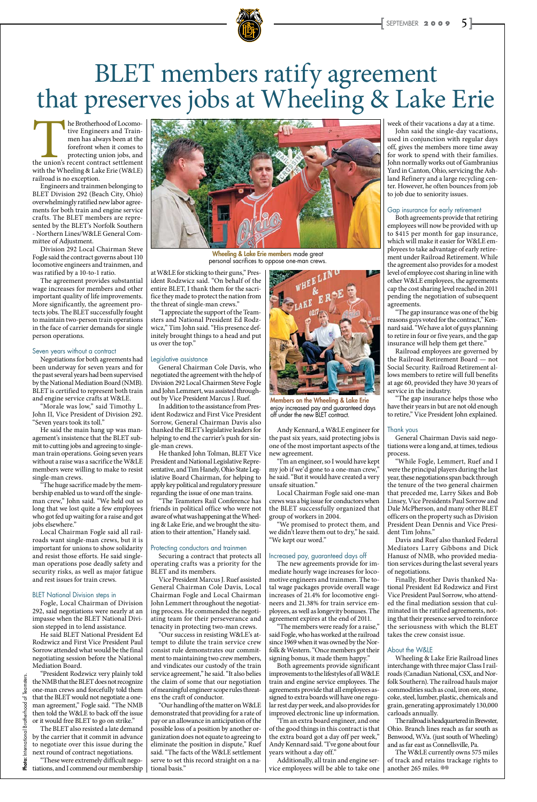

# BLET members ratify agreement<br>that preserves jobs at Wheeling & Lake Erie

The Brotherhood of Locomo-<br>tive Engineers and Train-<br>men has always been at the<br>forefront when it comes to<br>protecting union jobs, and<br>the union's recent contract settlement<br>with the Wheeling & Lake Erie (W&LE) tive Engineers and Trainmen has always been at the forefront when it comes to protecting union jobs, and with the Wheeling & Lake Erie (W&LE) railroad is no exception.

Engineers and trainmen belonging to BLET Division 292 (Beach City, Ohio) overwhelmingly ratified new labor agreements for both train and engine service crafts. The BLET members are represented by the BLET's Norfolk Southern - Northern Lines/W&LE General Committee of Adjustment.

Division 292 Local Chairman Steve Fogle said the contract governs about 110 locomotive engineers and trainmen, and was ratified by a 10-to-1 ratio.

The agreement provides substantial wage increases for members and other important quality of life improvements. More significantly, the agreement protects jobs. The BLET successfully fought to maintain two-person train operations in the face of carrier demands for single person operations.

#### Seven years without a contract

Negotiations for both agreements had been underway for seven years and for the past several years had been supervised by the National Mediation Board (NMB). BLET is certified to represent both train and engine service crafts at W&LE.

"Morale was low," said Timothy L. John II, Vice President of Division 292. "Seven years took its toll."

He said the main hang up was management's insistence that the BLET submit to cutting jobs and agreeing to singleman train operations. Going seven years without a raise was a sacrifice the W&LE members were willing to make to resist single-man crews.

"The huge sacrifice made by the membership enabled us to ward off the singleman crew," John said. "We held out so long that we lost quite a few employees who got fed up waiting for a raise and got jobs elsewhere."

Local Chairman Fogle said all railroads want single-man crews, but it is important for unions to show solidarity and resist those efforts. He said singleman operations pose deadly safety and security risks, as well as major fatigue and rest issues for train crews.

#### BLET National Division steps in

Fogle, Local Chairman of Division 292, said negotiations were nearly at an impasse when the BLET National Division stepped in to lend assistance.

He said BLET National President Ed Rodzwicz and First Vice President Paul Sorrow attended what would be the final negotiating session before the National Mediation Board.

"President Rodzwicz very plainly told the NMB that the BLET does not recognize one-man crews and forcefully told them that the BLET would not negotiate a oneman agreement," Fogle said. "The NMB then told the W&LE to back off the issue or it would free BLET to go on strike."

The BLET also resisted a late demand by the carrier that it commit in advance to negotiate over this issue during the next round of contract negotiations.

"These were extremely difficult negotiations, and I commend our membership

at W&LE for sticking to their guns," President Rodzwicz said. "On behalf of the entire BLET, I thank them for the sacrifice they made to protect the nation from the threat of single-man crews."

"I appreciate the support of the Teamsters and National President Ed Rodzwicz," Tim John said. "His presence definitely brought things to a head and put us over the top."

#### Legislative assistance

General Chairman Cole Davis, who negotiated the agreement with the help of Division 292 Local Chairmen Steve Fogle and John Lemmert, was assisted throughout by Vice President Marcus J. Ruef.

In addition to the assistance from President Rodzwicz and First Vice President Sorrow, General Chairman Davis also thanked the BLET's legislative leaders for helping to end the carrier's push for single-man crews.

He thanked John Tolman, BLET Vice President and National Legislative Representative, and Tim Hanely, Ohio State Legislative Board Chairman, for helping to apply key political and regulatory pressure regarding the issue of one man trains.

"The Teamsters Rail Conference has friends in political office who were not aware of what was happening at the Wheeling & Lake Erie, and we brought the situation to their attention," Hanely said.

#### Protecting conductors and trainmen

Securing a contract that protects all operating crafts was a priority for the BLET and its members.

Vice President Marcus J. Ruef assisted General Chairman Cole Davis, Local Chairman Fogle and Local Chairman John Lemmert throughout the negotiating process. He commended the negotiating team for their perseverance and tenacity in protecting two-man crews. "Our success in resisting W&LE's attempt to dilute the train service crew consist rule demonstrates our commitment to maintaining two crew members, and vindicates our custody of the train service agreement," he said. "It also belies the claim of some that our negotiation of meaningful engineer scope rules threatens the craft of conductor. "Our handling of the matter on W&LE demonstrated that providing for a rate of pay or an allowance in anticipation of the possible loss of a position by another organization does not equate to agreeing to eliminate the position in dispute," Ruef said. "The facts of the W&LE settlement serve to set this record straight on a national basis."

The W&LE currently owns 575 miles of track and retains trackage rights to another 265 miles.  $\otimes$ 



Wheeling & Lake Erie members made great personal sacrifices to oppose one-man crews.

Andy Kennard, a W&LE engineer for the past six years, said protecting jobs is one of the most important aspects of the new agreement.

"I'm an engineer, so I would have kept my job if we'd gone to a one-man crew," he said. "But it would have created a very unsafe situation."

Local Chairman Fogle said one-man crews was a big issue for conductors when the BLET successfully organized that group of workers in 2004.

"We promised to protect them, and we didn't leave them out to dry," he said. "We kept our word."

#### Increased pay, guaranteed days off

The new agreements provide for immediate hourly wage increases for locomotive engineers and trainmen. The total wage packages provide overall wage increases of 21.4% for locomotive engineers and 21.38% for train service employees, as well as longevity bonuses. The agreement expires at the end of 2011. "The members were ready for a raise," said Fogle, who has worked at the railroad since 1969 when it was owned by the Norfolk & Western. "Once members got their signing bonus, it made them happy." Both agreements provide significant improvements to the lifestyles of all W&LE train and engine service employees. The agreements provide that all employees assigned to extra boards will have one regular rest day per week, and also provides for improved electronic line up information. "I'm an extra board engineer, and one of the good things in this contract is that the extra board got a day off per week," Andy Kennard said. "I've gone about four years without a day off."

Additionally, all train and engine service employees will be able to take one

week of their vacations a day at a time.

John said the single-day vacations, used in conjunction with regular days off, gives the members more time away for work to spend with their families. John normally works out of Gambranius Yard in Canton, Ohio, servicing the Ashland Refinery and a large recycling center. However, he often bounces from job to job due to seniority issues.

#### Gap insurance for early retirement

Both agreements provide that retiring employees will now be provided with up to \$415 per month for gap insurance, which will make it easier for W&LE employees to take advantage of early retirement under Railroad Retirement. While the agreement also provides for a modest level of employee cost sharing in line with other W&LE employees, the agreements cap the cost sharing level reached in 2011 pending the negotiation of subsequent agreements.

"The gap insurance was one of the big reasons guys voted for the contract," Kennard said. "We have a lot of guys planning to retire in four or five years, and the gap insurance will help them get there."

Railroad employees are governed by the Railroad Retirement Board — not Social Security. Railroad Retirement allows members to retire will full benefits at age 60, provided they have 30 years of service in the industry.

"The gap insurance helps those who have their years in but are not old enough to retire," Vice President John explained.

#### Thank yous

General Chairman Davis said negotiations were a long and, at times, tedious process.

"While Fogle, Lemmert, Ruef and I were the principal players during the last year, these negotiations span back through the tenure of the two general chairmen that preceded me, Larry Sikes and Bob Linsey, Vice Presidents Paul Sorrow and Dale McPherson, and many other BLET officers on the property such as Division President Dean Dennis and Vice President Tim Johns."

Davis and Ruef also thanked Federal Mediators Larry Gibbons and Dick Hanusz of NMB, who provided mediation services during the last several years of negotiations.

Finally, Brother Davis thanked National President Ed Rodzwicz and First Vice President Paul Sorrow, who attended the final mediation session that culminated in the ratified agreements, noting that their presence served to reinforce the seriousness with which the BLET takes the crew consist issue.

#### About the W&LE

Wheeling & Lake Erie Railroad lines interchange with three major Class I railroads (Canadian National, CSX, and Norfolk Southern). The railroad hauls major commodities such as coal, iron ore, stone, coke, steel, lumber, plastic, chemicals and grain, generating approximately 130,000 carloads annually.

The railroad is headquartered in Brewster, Ohio. Branch lines reach as far south as Benwood, W.Va. (just south of Wheeling) and as far east as Connellsville, Pa.



Members on the Wheeling & Lake Erie enjoy increased pay and guaranteed days off under the new BLET contract.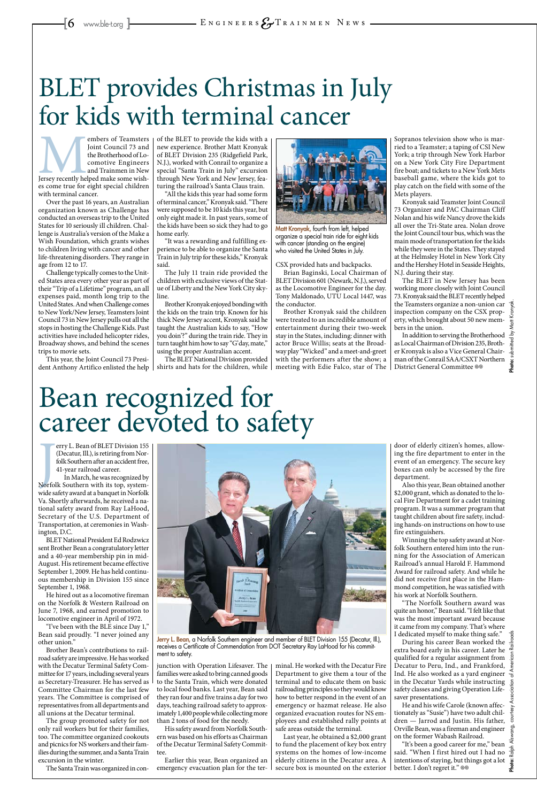embers of Teamsters<br>
Joint Council 73 and<br>
the Brotherhood of Locomotive Engineers<br>
and Trainmen in New<br>
Jersey recently helped make some wish-<br>
es come true for eight special children Joint Council 73 and the Brotherhood of Locomotive Engineers and Trainmen in New es come true for eight special children with terminal cancer.

Over the past 16 years, an Australian organization known as Challenge has conducted an overseas trip to the United States for 10 seriously ill children. Challenge is Australia's version of the Make a Wish Foundation, which grants wishes to children living with cancer and other life-threatening disorders. They range in age from 12 to 17.

Challenge typically comes to the United States area every other year as part of their "Trip of a Lifetime" program, an all expenses paid, month long trip to the United States. And when Challenge comes to New York/New Jersey, Teamsters Joint Council 73 in New Jersey pulls out all the stops in hosting the Challenge Kids. Past activities have included helicopter rides, Broadway shows, and behind the scenes trips to movie sets.

This year, the Joint Council 73 President Anthony Artifico enlisted the help

of the BLET to provide the kids with a new experience. Brother Matt Kronyak of BLET Division 235 (Ridgefield Park, N.J.), worked with Conrail to organize a special "Santa Train in July" excursion through New York and New Jersey, featuring the railroad's Santa Claus train.

"All the kids this year had some form of terminal cancer," Kronyak said. "There were supposed to be 10 kids this year, but only eight made it. In past years, some of the kids have been so sick they had to go home early.

"It was a rewarding and fulfilling experience to be able to organize the Santa Train in July trip for these kids," Kronyak said.

The July 11 train ride provided the children with exclusive views of the Statue of Liberty and the New York City skyline.

> In addition to serving the Brotherhood as Local Chairman of Division 235, Brother Kronyak is also a Vice General Chairman of the Conrail SAA/CSXT Northern District General Committee ®®

**Photo:** submitted by Matt Kronyak.

mqui

Brother Kronyak enjoyed bonding with the kids on the train trip. Known for his thick New Jersey accent, Kronyak said he taught the Australian kids to say, "How you doin'?" during the train ride. They in turn taught him how to say "G'day, mate," using the proper Australian accent.



Matt Kronyak, fourth from left, helped organize a special train ride for eight kids with cancer (standing on the engine) who visited the United States in July.

erry L. Bean of BLET Division 155<br>(Decatur, Ill.), is retiring from Nor-<br>folk Southern after an accident free,<br>41-year railroad career.<br>In March, he was recognized by<br>Norfolk Southern with its top, system-<br>wide safety awar erry L. Bean of BLET Division 155 (Decatur, Ill.), is retiring from Norfolk Southern after an accident free, 41-year railroad career.

The BLET National Division provided shirts and hats for the children, while CSX provided hats and backpacks.

Brian Baginski, Local Chairman of BLET Division 601 (Newark, N.J.), served as the Locomotive Engineer for the day. Tony Maldonado, UTU Local 1447, was the conductor.

Brother Kronyak said the children were treated to an incredible amount of entertainment during their two-week stay in the States, including: dinner with actor Bruce Willis; seats at the Broadway play "Wicked" and a meet-and-greet with the performers after the show; a meeting with Edie Falco, star of The Sopranos television show who is married to a Teamster; a taping of CSI New York; a trip through New York Harbor on a New York City Fire Department fire boat; and tickets to a New York Mets baseball game, where the kids got to play catch on the field with some of the Mets players.

Kronyak said Teamster Joint Council 73 Organizer and PAC Chairman Cliff Nolan and his wife Nancy drove the kids all over the Tri-State area. Nolan drove the Joint Council tour bus, which was the main mode of transportation for the kids while they were in the States. They stayed at the Helmsley Hotel in New York City and the Hershey Hotel in Seaside Heights, N.J. during their stay.

The BLET in New Jersey has been working more closely with Joint Council 73. Kronyak said the BLET recently helped the Teamsters organize a non-union car inspection company on the CSX property, which brought about 50 new members in the union.

# BLET provides Christmas in July for kids with terminal cancer

During his career Bean worked the  $\frac{15}{2}$ extra board early in his career. Later he qualified for a regular assignment from  $\frac{5}{9}$ Decatur to Peru, Ind., and Frankford,  $\frac{e}{5}$ Ind. He also worked as a yard engineer  $\frac{1}{6}$ in the Decatur Yards while instructing safety classes and giving Operation Lifesaver presentations.

"It's been a good career for me," bean said. "When I first hired out I had no intentions of staying, but things got a lot better. I don't regret it."  $\otimes$ 

Jerry L. Bean, a Norfolk Southern engineer and member of BLET Division 155 (Decatur, Ill.), receives a Certificate of Commendation from DOT Secretary Ray LaHood for his commitment to safety.

In March, he was recognized by wide safety award at a banquet in Norfolk Va. Shortly afterwards, he received a national safety award from Ray LaHood, Secretary of the U.S. Department of Transportation, at ceremonies in Washington, D.C.

BLET National President Ed Rodzwicz sent Brother Bean a congratulatory letter and a 40-year membership pin in mid-August. His retirement became effective September 1, 2009. He has held continuous membership in Division 155 since September 1, 1968.



He hired out as a locomotive fireman on the Norfolk & Western Railroad on June 7, 1968, and earned promotion to locomotive engineer in April of 1972.

"I've been with the BLE since Day 1," Bean said proudly. "I never joined any other union."

Brother Bean's contributions to railroad safety are impressive. He has worked with the Decatur Terminal Safety Committee for 17 years, including several years as Secretary-Treasurer. He has served as Committee Chairman for the last few years. The Committee is comprised of representatives from all departments and all unions at the Decatur terminal.

The group promoted safety for not only rail workers but for their families, too. The committee organized cookouts and picnics for NS workers and their families during the summer, and a Santa Train excursion in the winter.

The Santa Train was organized in con-

junction with Operation Lifesaver. The families were asked to bring canned goods to the Santa Train, which were donated to local food banks. Last year, Bean said they ran four and five trains a day for two days, teaching railroad safety to approximately 1,400 people while collecting more than 2 tons of food for the needy.

His safety award from Norfolk Southern was based on his efforts as Chairman of the Decatur Terminal Safety Committee.

Earlier this year, Bean organized an emergency evacuation plan for the terminal. He worked with the Decatur Fire Department to give them a tour of the terminal and to educate them on basic railroading principles so they would know how to better respond in the event of an emergency or hazmat release. He also organized evacuation routes for NS employees and established rally points at safe areas outside the terminal.

Last year, he obtained a \$2,000 grant to fund the placement of key box entry systems on the homes of low-income elderly citizens in the Decatur area. A secure box is mounted on the exterior

door of elderly citizen's homes, allowing the fire department to enter in the event of an emergency. The secure key boxes can only be accessed by the fire department.

Also this year, Bean obtained another \$2,000 grant, which as donated to the local Fire Department for a cadet training program. It was a summer program that taught children about fire safety, including hands-on instructions on how to use fire extinguishers.

Winning the top safety award at Norfolk Southern entered him into the running for the Association of American Railroad's annual Harold F. Hammond Award for railroad safety. And while he did not receive first place in the Hammond competition, he was satisfied with

his work at Norfolk Southern.

"The Norfolk Southern award was quite an honor," Bean said. "I felt like that was the most important award because it came from my company. That's where I dedicated myself to make thing safe."

He and his wife Carole (known affectionately as "Susie") have two adult children — Jarrod and Justin. His father, Orville Bean, was a fireman and engineer on the former Wabash Railroad.

# Bean recognized for career devoted to safety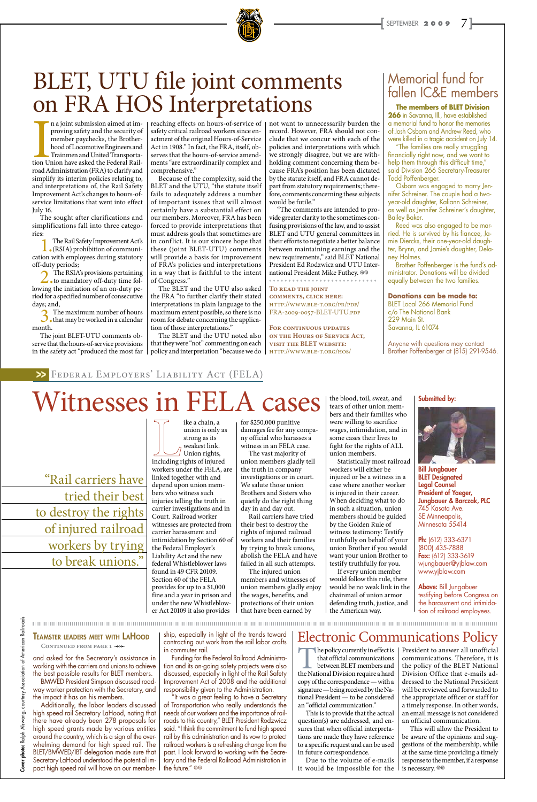

n a joint submission aimed at im-<br>proving safety and the security of<br>member paychecks, the Brother-<br>hood of Locomotive Engineers and<br>Trainmen and United Transporta-<br>tion Union have asked the Federal Rail-<br>road Administrati n a joint submission aimed at improving safety and the security of member paychecks, the Brotherhood of Locomotive Engineers and Trainmen and United Transportaroad Administration (FRA) to clarify and simplify its interim policies relating to, and interpretations of, the Rail Safety Improvement Act's changes to hours-ofservice limitations that went into effect July 16.

The sought after clarifications and simplifications fall into three categories:

1.The Rail Safety Improvement Act's (RSIA) prohibition of communication with employees during statutory off-duty periods;

2.The RSIA's provisions pertaining to mandatory off-duty time following the initiation of an on-duty period for a specified number of consecutive days; and,

3.The maximum number of hours that may be worked in a calendar month.

The joint BLET-UTU comments observe that the hours-of-service provisions in the safety act "produced the most far

reaching effects on hours-of-service of safety critical railroad workers since enactment of the original Hours-of-Service Act in 1908." In fact, the FRA, itself, observes that the hours-of-service amendments "are extraordinarily complex and comprehensive."

> "The comments are intended to provide greater clarity to the sometimes confusing provisions of the law, and to assist BLET and UTU general committees in their efforts to negotiate a better balance between maintaining earnings and the new requirements," said BLET National President Ed Rodzwicz and UTU International President Mike Futhey. ®®

Because of the complexity, said the BLET and the UTU, "the statute itself fails to adequately address a number of important issues that will almost certainly have a substantial effect on our members. Moreover, FRA has been forced to provide interpretations that must address goals that sometimes are in conflict. It is our sincere hope that these (joint BLET-UTU) comments will provide a basis for improvement of FRA's policies and interpretations in a way that is faithful to the intent of Congress."

The BLET and the UTU also asked the FRA "to further clarify their stated interpretations in plain language to the maximum extent possible, so there is no room for debate concerning the application of those interpretations."

The BLET and the UTU noted also that they were "not" commenting on each policy and interpretation "because we do

> "It was a great feeling to have a Secretary of Transportation who really understands the needs of our workers and the importance of railroads to this country," BLET President Rodzwicz said. "I think the commitment to fund high speed rail by this administration and its vow to protect railroad workers is a refreshing change from the past. I look forward to working with the Secretary and the Federal Railroad Administration in the future."  $\otimes$

not want to unnecessarily burden the record. However, FRA should not conclude that we concur with each of the policies and interpretations with which we strongly disagree, but we are withholding comment concerning them because FRA's position has been dictated by the statute itself, and FRA cannot depart from statutory requirements; therefore, comments concerning these subjects would be futile."

**To read the joint comments, click here:** http://www.ble-t.org/pr/pdf/ FRA-2009-0057-BLET-UTU.pdf

**For continuous updates on the Hours of Service Act, visit the BLET website:**  http://www.ble-t.org/hos/

# BLET, UTU file joint comments on FRA HOS Interpretations

and asked for the Secretary's assistance in working with the carriers and unions to achieve the best possible results for BLET members. BMWED President Simpson discussed roadway worker protection with the Secretary, and the impact it has on his members.

Additionally, the labor leaders discussed high speed rail Secretary LaHood, noting that there have already been 278 proposals for high speed grants made by various entities around the country, which is a sign of the overwhelming demand for high speed rail. The BLET/BMWED/IBT delegation made sure that Secretary LaHood understood the potential impact high speed rail will have on our member-

ship, especially in light of the trends toward contracting out work from the rail labor crafts in commuter rail.

Funding for the Federal Railroad Administration and its on-going safety projects were also discussed, especially in light of the Rail Safety Improvement Act of 2008 and the additional responsibility given to the Administration.

Ph: (612) 333-6371 (800) 435-7888 Fax: (612) 333-3619 wjungbauer@yjblaw.com www.yjblaw.com

The policy currently in effect is that official communications between BLET members and the National Division require a hard copy of the correspondence — with a signature — being received by the National President — to be considered an "official communication."

> This will allow the President to be aware of the opinions and suggestions of the membership, while at the same time providing a timely response to the member, if a response is necessary.  $\circledcirc$

**The members of BLET Division 266** in Savanna, Ill., have established a memorial fund to honor the memories of Josh Osborn and Andrew Reed, who were killed in a tragic accident on July 14.

"The families are really struggling financially right now, and we want to help them through this difficult time," said Division 266 Secretary-Treasurer Todd Poffenberger.

Osborn was engaged to marry Jennifer Schreiner. The couple had a twoyear-old daughter, Kaliann Schreiner, as well as Jennifer Schreiner's daughter, Bailey Baker.

Reed was also engaged to be married. He is survived by his fiancee, Jamie Diercks, their one-year-old daughter, Brynn, and Jamie's daughter, Delaney Holmes.

Brother Poffenberger is the fund's administrator. Donations will be divided equally between the two families.

#### **Donations can be made to:**

BLET Local 266 Memorial Fund c/o The National Bank 229 Main St. Savanna, IL 61074

Anyone with questions may contact Brother Poffenberger at (815) 291-9546.

## Memorial fund for fallen IC&E members

#### Teamster leaders meet with LaHood

CONTINUED FROM PAGE 1 <0

ike a chain, a union is only as strong as its weakest link. Union rights, including rights of injured workers under the FELA, are linked together with and depend upon union members who witness such injuries telling the truth in carrier investigations and in Court. Railroad worker witnesses are protected from carrier harassment and intimidation by Section 60 of the Federal Employer's Liability Act and the new federal Whistleblower laws found in 49 CFR 20109. Section 60 of the FELA

provides for up to a \$1,000

fine and a year in prison and under the new Whistleblower Act 20109 it also provides

for \$250,000 punitive damages fee for any company official who harasses a witness in an FELA case.

The vast majority of union members gladly tell the truth in company investigations or in court. We salute those union Brothers and Sisters who quietly do the right thing day in and day out.

Rail carriers have tried their best to destroy the rights of injured railroad workers and their families by trying to break unions, abolish the FELA and have failed in all such attempts.

The injured union members and witnesses of union members gladly enjoy the wages, benefits, and protections of their union that have been earned by

the blood, toil, sweat, and tears of other union members and their families who were willing to sacrifice wages, intimidation, and in some cases their lives to fight for the rights of ALL union members.

Statistically most railroad workers will either be injured or be a witness in a case where another worker is injured in their career. When deciding what to do in such a situation, union members should be guided by the Golden Rule of witness testimony: Testify truthfully on behalf of your union Brother if you would want your union Brother to testify truthfully for you.

If every union member would follow this rule, there would be no weak link in the

chainmail of union armor defending truth, justice, and the American way.

Submitted by:



Bill Jungbauer BLET Designated Legal Counsel President of Yaeger, Jungbauer & Barczak, PLC 745 Kasota Ave. SE Minneapolis, Minnesota 55414

Above: Bill Jungabuer testifying before Congress on the harassment and intimidation of railroad employees.

#### Federal Employers' Liability Act (FELA) >>

# Witnesses in FELA cases

"Rail carriers have tried their best to destroy the rights of injured railroad workers by trying to break unions."

> This is to provide that the actual question(s) are addressed, and ensures that when official interpretations are made they have reference to a specific request and can be used in future correspondence.

Due to the volume of e-mails it would be impossible for the

President to answer all unofficial communications. Therefore, it is the policy of the BLET National Division Office that e-mails addressed to the National President will be reviewed and forwarded to the appropriate officer or staff for a timely response. In other words, an email message is not considered an official communication.

## Electronic Communications Policy